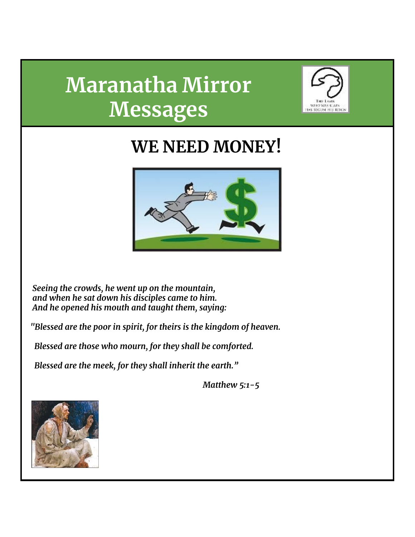# **Maranatha Mirror Messages**



## **WE NEED MONEY!**



*Seeing the crowds, he went up on the mountain, and when he sat down his disciples came to him. And he opened his mouth and taught them, saying:*

*"Blessed are the poor in spirit, for theirs is the kingdom of heaven.*

*Blessed are those who mourn, for they shall be comforted.*

*Blessed are the meek, for they shall inherit the earth."*

*Matthew 5:1-5*

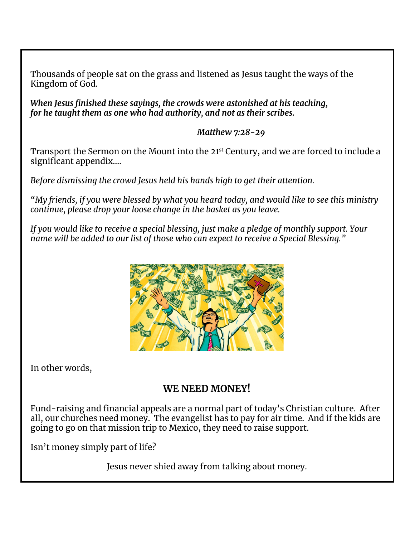Thousands of people sat on the grass and listened as Jesus taught the ways of the Kingdom of God.

*When Jesus finished these sayings, the crowds were astonished at his teaching, for he taught them as one who had authority, and not as their scribes.*

*Matthew 7:28-29*

Transport the Sermon on the Mount into the 21<sup>st</sup> Century, and we are forced to include a significant appendix….

*Before dismissing the crowd Jesus held his hands high to get their attention.*

*"My friends, if you were blessed by what you heard today, and would like to see this ministry continue, please drop your loose change in the basket as you leave.*

*If you would like to receive a special blessing, just make a pledge of monthly support. Your name will be added to our list of those who can expect to receive a Special Blessing."*



In other words,

## **WE NEED MONEY!**

Fund-raising and financial appeals are a normal part of today's Christian culture. After all, our churches need money. The evangelist has to pay for air time. And if the kids are going to go on that mission trip to Mexico, they need to raise support.

Isn't money simply part of life?

Jesus never shied away from talking about money.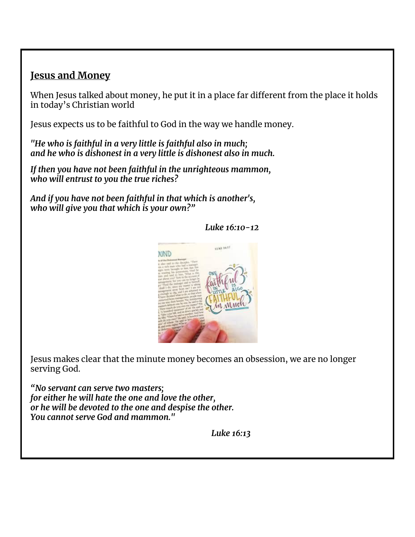### **Jesus and Money**

When Jesus talked about money, he put it in a place far different from the place it holds in today's Christian world

Jesus expects us to be faithful to God in the way we handle money.

*"He who is faithful in a very little is faithful also in much; and he who is dishonest in a very little is dishonest also in much.*

*If then you have not been faithful in the unrighteous mammon, who will entrust to you the true riches?*

*And if you have not been faithful in that which is another's, who will give you that which is your own?"*

#### *Luke 16:10-12*



Jesus makes clear that the minute money becomes an obsession, we are no longer serving God.

*"No servant can serve two masters; for either he will hate the one and love the other, or he will be devoted to the one and despise the other. You cannot serve God and mammon."*

*Luke 16:13*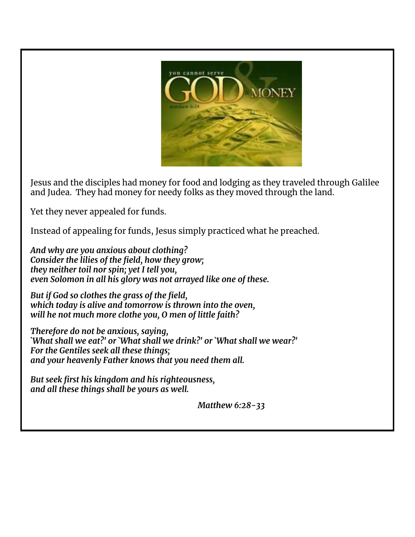

Jesus and the disciples had money for food and lodging as they traveled through Galilee and Judea. They had money for needy folks as they moved through the land.

Yet they never appealed for funds.

Instead of appealing for funds, Jesus simply practiced what he preached.

*And why are you anxious about clothing? Consider the lilies of the field, how they grow; they neither toil nor spin; yet I tell you, even Solomon in all his glory was not arrayed like one of these.*

*But if God so clothes the grass of the field, which today is alive and tomorrow is thrown into the oven, will he not much more clothe you, O men of little faith?*

*Therefore do not be anxious, saying, `What shall we eat?' or `What shall we drink?' or `What shall we wear?' For the Gentiles seek all these things; and your heavenly Father knows that you need them all.*

*But seek first his kingdom and his righteousness, and all these things shall be yours as well.*

*Matthew 6:28-33*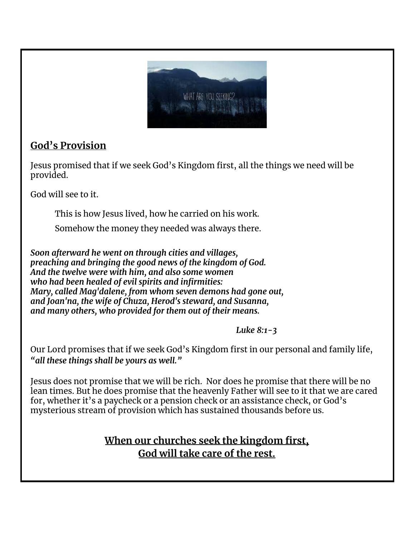

## **God's Provision**

Jesus promised that if we seek God's Kingdom first, all the things we need will be provided.

God will see to it.

This is how Jesus lived, how he carried on his work.

Somehow the money they needed was always there.

*Soon afterward he went on through cities and villages, preaching and bringing the good news of the kingdom of God. And the twelve were with him, and also some women who had been healed of evil spirits and infirmities: Mary, called Mag'dalene, from whom seven demons had gone out, and Joan'na, the wife of Chuza, Herod's steward, and Susanna, and many others, who provided for them out of their means.*

*Luke 8:1-3*

Our Lord promises that if we seek God's Kingdom first in our personal and family life, *"all these things shall be yours as well."*

Jesus does not promise that we will be rich. Nor does he promise that there will be no lean times. But he does promise that the heavenly Father will see to it that we are cared for, whether it's a paycheck or a pension check or an assistance check, or God's mysterious stream of provision which has sustained thousands before us.

## **When our churches seek the kingdom first, God will take care of the rest.**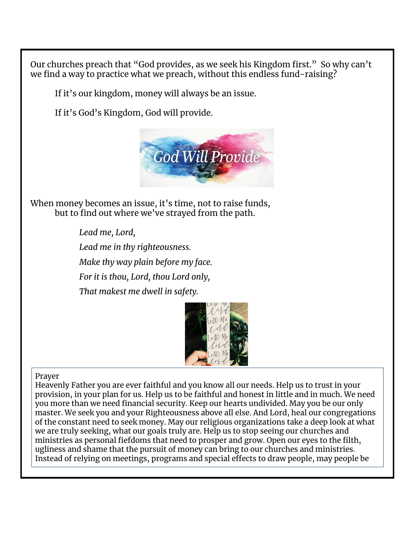Our churches preach that "God provides, as we seek his Kingdom first." So why can't we find a way to practice what we preach, without this endless fund-raising?

If it's our kingdom, money will always be an issue.

If it's God's Kingdom, God will provide.



When money becomes an issue, it's time, not to raise funds, but to find out where we've strayed from the path.

> *Lead me, Lord, Lead me in thy righteousness. Make thy way plain before my face. For it is thou, Lord, thou Lord only, That makest me dwell in safety.*



#### Prayer

Heavenly Father you are ever faithful and you know all our needs. Help us to trust in your provision, in your plan for us. Help us to be faithful and honest in little and in much. We need you more than we need financial security. Keep our hearts undivided. May you be our only master. We seek you and your Righteousness above all else. And Lord, heal our congregations of the constant need to seek money. May our religious organizations take a deep look at what we are truly seeking, what our goals truly are. Help us to stop seeing our churches and ministries as personal fiefdoms that need to prosper and grow. Open our eyes to the filth, ugliness and shame that the pursuit of money can bring to our churches and ministries. Instead of relying on meetings, programs and special effects to draw people, may people be